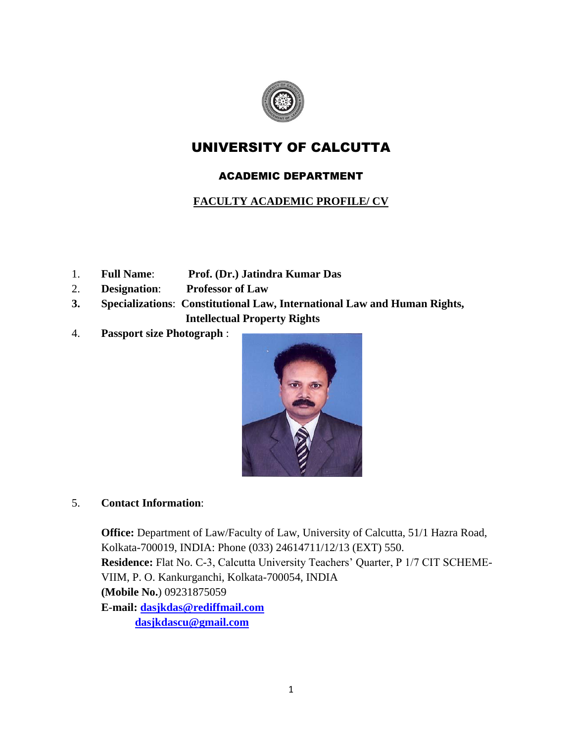

## UNIVERSITY OF CALCUTTA

## ACADEMIC DEPARTMENT

## **FACULTY ACADEMIC PROFILE/ CV**

- 1. **Full Name**: **Prof. (Dr.) Jatindra Kumar Das**
- 2. **Designation**: **Professor of Law**
- **3. Specializations**: **Constitutional Law, International Law and Human Rights, Intellectual Property Rights**
- 4. **Passport size Photograph** :



## 5. **Contact Information**:

**Office:** Department of Law/Faculty of Law, University of Calcutta, 51/1 Hazra Road, Kolkata-700019, INDIA: Phone (033) 24614711/12/13 (EXT) 550. **Residence:** Flat No. C-3, Calcutta University Teachers' Quarter, P 1/7 CIT SCHEME-VIIM, P. O. Kankurganchi, Kolkata-700054, INDIA **(Mobile No.**) 09231875059 **E-mail: [dasjkdas@rediffmail.com](mailto:dasjkdas@rediffmail.com) [dasjkdascu@gmail.com](mailto:dasjkdascu@gmail.com)**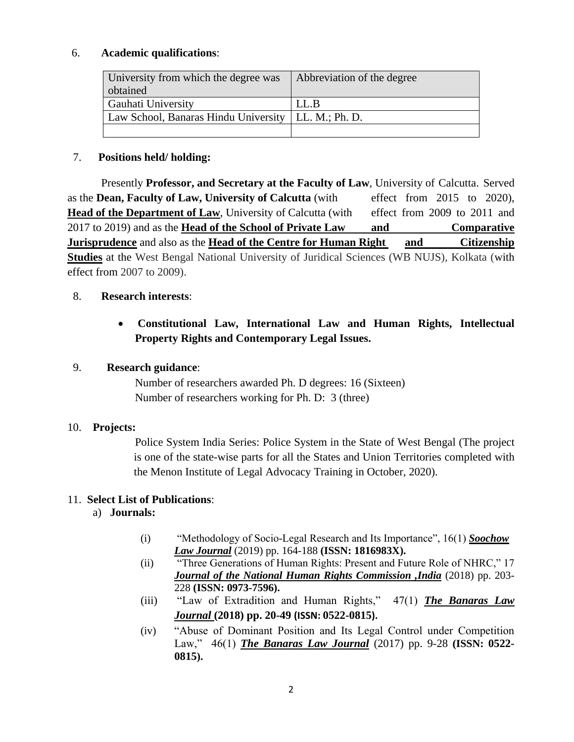#### 6. **Academic qualifications**:

| University from which the degree was<br>obtained      | Abbreviation of the degree |
|-------------------------------------------------------|----------------------------|
| Gauhati University                                    | LL.B                       |
| Law School, Banaras Hindu University   LL. M.; Ph. D. |                            |
|                                                       |                            |

#### 7. **Positions held/ holding:**

Presently **Professor, and Secretary at the Faculty of Law**, University of Calcutta. Served as the **Dean, Faculty of Law, University of Calcutta** (with effect from 2015 to 2020), **Head of the Department of Law**, University of Calcutta (with effect from 2009 to 2011 and 2017 to 2019) and as the **Head of the School of Private Law and Comparative <u>Jurisprudence</u>** and also as the **Head of the Centre for Human Right** and Citizenship **Studies** at the West Bengal National University of Juridical Sciences (WB NUJS), Kolkata (with effect from 2007 to 2009).

#### 8. **Research interests**:

## **Constitutional Law, International Law and Human Rights, Intellectual Property Rights and Contemporary Legal Issues.**

#### 9. **Research guidance**:

 Number of researchers awarded Ph. D degrees: 16 (Sixteen) Number of researchers working for Ph. D: 3 (three)

#### 10. **Projects:**

Police System India Series: Police System in the State of West Bengal (The project is one of the state-wise parts for all the States and Union Territories completed with the Menon Institute of Legal Advocacy Training in October, 2020).

#### 11. **Select List of Publications**:

#### a) **Journals:**

- (i) "Methodology of Socio-Legal Research and Its Importance", 16(1) *Soochow Law Journal* (2019) pp. 164-188 **(ISSN: 1816983X).**
- (ii) "Three Generations of Human Rights: Present and Future Role of NHRC," 17 *Journal of the National Human Rights Commission ,India* (2018) pp. 203- 228 **(ISSN: 0973-7596).**
- (iii) "Law of Extradition and Human Rights," 47(1) *The Banaras Law Journal* **(2018) pp. 20-49 (ISSN: 0522-0815).**
- (iv) "Abuse of Dominant Position and Its Legal Control under Competition Law," 46(1) *The Banaras Law Journal* (2017) pp. 9-28 **(ISSN: 0522- 0815).**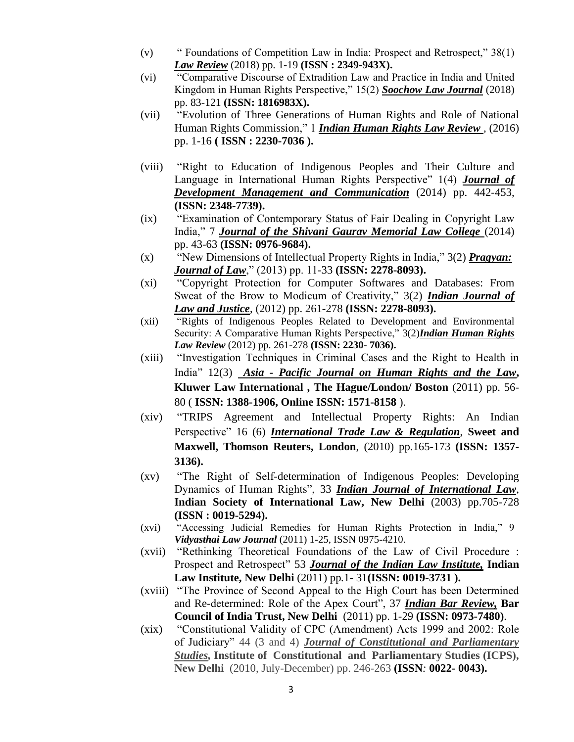- (v) " Foundations of Competition Law in India: Prospect and Retrospect," 38(1) *Law Review* (2018) pp. 1-19 **(ISSN : 2349-943X).**
- (vi) "Comparative Discourse of Extradition Law and Practice in India and United Kingdom in Human Rights Perspective," 15(2) *Soochow Law Journal* (2018) pp. 83-121 **(ISSN: 1816983X).**
- (vii) "Evolution of Three Generations of Human Rights and Role of National Human Rights Commission," 1 *Indian Human Rights Law Review ,* (2016) pp. 1-16 **( ISSN : 2230-7036 ).**
- (viii) "Right to Education of Indigenous Peoples and Their Culture and Language in International Human Rights Perspective" 1(4) *Journal of Development Management and Communication* (2014) pp. 442-453, **(ISSN: 2348-7739).**
- (ix) "Examination of Contemporary Status of Fair Dealing in Copyright Law India," 7 *Journal of the Shivani Gaurav Memorial Law College* (2014) pp. 43-63 **(ISSN: 0976-9684).**
- (x) "New Dimensions of Intellectual Property Rights in India," 3(2) *Pragyan: Journal of Law*," (2013) pp. 11-33 **(ISSN: 2278-8093).**
- (xi) "Copyright Protection for Computer Softwares and Databases: From Sweat of the Brow to Modicum of Creativity," 3(2) *Indian Journal of Law and Justice*, (2012) pp. 261-278 **(ISSN: 2278-8093).**
- (xii) "Rights of Indigenous Peoples Related to Development and Environmental Security: A Comparative Human Rights Perspective," 3(2)*Indian Human Rights Law Review* (2012) pp. 261-278 **(ISSN: 2230- 7036).**
- (xiii) "Investigation Techniques in Criminal Cases and the Right to Health in India" 12(3) *Asia - Pacific Journal on Human Rights and the Law***, Kluwer Law International , The Hague/London/ Boston** (2011) pp. 56- 80 ( **ISSN: 1388-1906, Online ISSN: 1571-8158** ).
- (xiv) "TRIPS Agreement and Intellectual Property Rights: An Indian Perspective" 16 (6) *International Trade Law & Regulation*, **Sweet and Maxwell, Thomson Reuters, London**, (2010) pp.165-173 **(ISSN: 1357- 3136).**
- (xv) "The Right of Self-determination of Indigenous Peoples: Developing Dynamics of Human Rights", 33 *Indian Journal of International Law*, **Indian Society of International Law, New Delhi** (2003) pp.705-728 **(ISSN : 0019-5294).**
- (xvi) "Accessing Judicial Remedies for Human Rights Protection in India," 9 *Vidyasthai Law Journal* (2011) 1-25, ISSN 0975-4210.
- (xvii) "Rethinking Theoretical Foundations of the Law of Civil Procedure : Prospect and Retrospect" 53 *Journal of the Indian Law Institute,* **Indian Law Institute, New Delhi** (2011) pp*.*1- 31**(ISSN: 0019-3731 ).**
- (xviii) "The Province of Second Appeal to the High Court has been Determined and Re-determined: Role of the Apex Court", 37 *Indian Bar Review,* **Bar Council of India Trust, New Delhi** (2011) pp. 1-29 **(ISSN: 0973-7480)**.
- (xix) "Constitutional Validity of CPC (Amendment) Acts 1999 and 2002: Role of Judiciary" 44 (3 and 4) *Journal of Constitutional and Parliamentary Studies,* **Institute of****Constitutional and Parliamentary Studies (ICPS), New Delhi** (2010, July-December) pp. 246-263 **(ISSN***:* **0022- 0043).**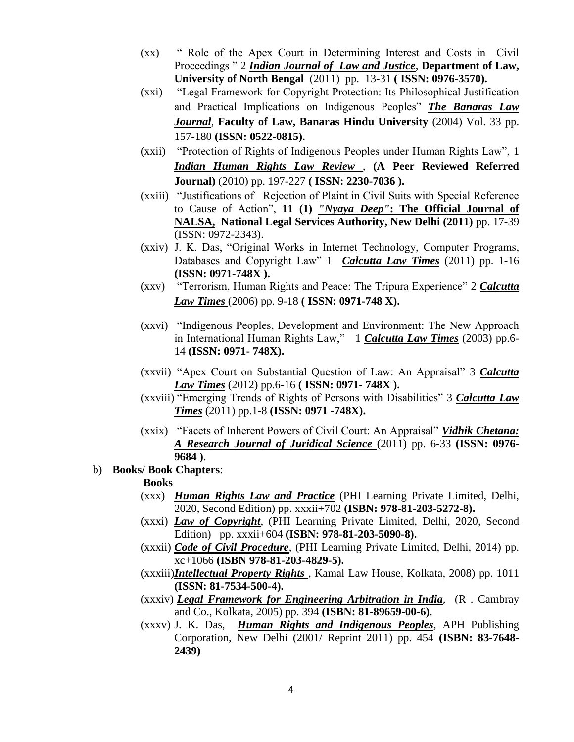- (xx) " Role of the Apex Court in Determining Interest and Costs in Civil Proceedings " 2 *Indian Journal of Law and Justice*, **Department of Law, University of North Bengal** (2011) pp. 13-31 **( ISSN: 0976-3570).**
- (xxi) "Legal Framework for Copyright Protection: Its Philosophical Justification and Practical Implications on Indigenous Peoples" *The Banaras Law Journal*, **Faculty of Law, Banaras Hindu University** (2004) Vol. 33 pp. 157-180 **(ISSN: 0522-0815).**
- (xxii) "Protection of Rights of Indigenous Peoples under Human Rights Law", 1 *Indian Human Rights Law Review ,* **(A Peer Reviewed Referred Journal)** (2010) pp. 197-227 **( ISSN: 2230-7036 ).**
- (xxiii) "Justifications of Rejection of Plaint in Civil Suits with Special Reference to Cause of Action", **11 (1)** *"Nyaya Deep"***: The Official Journal of NALSA, National Legal Services Authority, New Delhi (2011)** pp. 17-39 (ISSN: 0972-2343).
- (xxiv) J. K. Das, "Original Works in Internet Technology, Computer Programs, Databases and Copyright Law" 1 *Calcutta Law Times* (2011) pp. 1-16 **(ISSN: 0971-748X ).**
- (xxv) "Terrorism, Human Rights and Peace: The Tripura Experience" 2 *Calcutta Law Times* (2006) pp. 9-18 **( ISSN: 0971-748 X).**
- (xxvi) "Indigenous Peoples, Development and Environment: The New Approach in International Human Rights Law," 1 *Calcutta Law Times* (2003) pp.6- 14 **(ISSN: 0971- 748X).**
- (xxvii) "Apex Court on Substantial Question of Law: An Appraisal" 3 *Calcutta Law Times* (2012) pp.6-16 **( ISSN: 0971- 748X ).**
- (xxviii) "Emerging Trends of Rights of Persons with Disabilities" 3 *Calcutta Law Times* (2011) pp.1-8 **(ISSN: 0971 -748X).**
- (xxix) "Facets of Inherent Powers of Civil Court: An Appraisal" *Vidhik Chetana: A Research Journal of Juridical Science* (2011) pp. 6-33 **(ISSN: 0976- 9684 )**.
- b) **Books/ Book Chapters**:

#### **Books**

- (xxx) *Human Rights Law and Practice* (PHI Learning Private Limited, Delhi, 2020, Second Edition) pp. xxxii+702 **(ISBN: 978-81-203-5272-8).**
- (xxxi) *Law of Copyright*, (PHI Learning Private Limited, Delhi, 2020, Second Edition) pp. xxxii+604 **(ISBN: 978-81-203-5090-8).**
- (xxxii) *Code of Civil Procedure*, (PHI Learning Private Limited, Delhi, 2014) pp. xc+1066 **(ISBN 978-81-203-4829-5).**
- (xxxiii)*Intellectual Property Rights* , Kamal Law House, Kolkata, 2008) pp. 1011 **(ISSN: 81-7534-500-4).**
- (xxxiv) *Legal Framework for Engineering Arbitration in India*, (R . Cambray and Co., Kolkata, 2005) pp. 394 **(ISBN: 81-89659-00-6)**.
- (xxxv) J. K. Das, *Human Rights and Indigenous Peoples,* APH Publishing Corporation, New Delhi (2001/ Reprint 2011) pp. 454 **(ISBN: 83-7648- 2439)**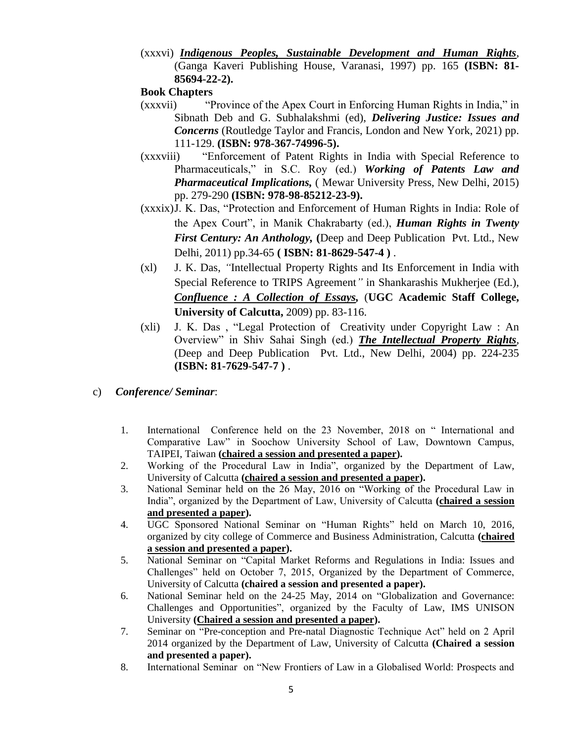(xxxvi) *Indigenous Peoples, Sustainable Development and Human Rights*, (Ganga Kaveri Publishing House, Varanasi, 1997) pp. 165 **(ISBN: 81- 85694-22-2).** 

#### **Book Chapters**

- (xxxvii) "Province of the Apex Court in Enforcing Human Rights in India," in Sibnath Deb and G. Subhalakshmi (ed), *Delivering Justice: Issues and Concerns* (Routledge Taylor and Francis, London and New York, 2021) pp. 111-129. **(ISBN: 978-367-74996-5).**
- (xxxviii) "Enforcement of Patent Rights in India with Special Reference to Pharmaceuticals," in S.C. Roy (ed.) *Working of Patents Law and Pharmaceutical Implications,* ( Mewar University Press, New Delhi, 2015) pp. 279-290 **(ISBN: 978-98-85212-23-9).**
- (xxxix)J. K. Das, "Protection and Enforcement of Human Rights in India: Role of the Apex Court", in Manik Chakrabarty (ed.), *Human Rights in Twenty First Century: An Anthology,* **(**Deep and Deep Publication Pvt. Ltd., New Delhi*,* 2011) pp.34-65 **( ISBN: 81-8629-547-4 )** .
- (xl) J. K. Das, *"*Intellectual Property Rights and Its Enforcement in India with Special Reference to TRIPS Agreement*"* in Shankarashis Mukherjee (Ed.), *Confluence : A Collection of Essays,* (**UGC Academic Staff College, University of Calcutta,** 2009) pp. 83-116.
- (xli) J. K. Das , "Legal Protection of Creativity under Copyright Law : An Overview" in Shiv Sahai Singh (ed.) *The Intellectual Property Rights,*  (Deep and Deep Publication Pvt. Ltd., New Delhi*,* 2004) pp. 224-235 **(ISBN: 81-7629-547-7 )** .
- c) *Conference/ Seminar*:
	- 1. International Conference held on the 23 November, 2018 on " International and Comparative Law" in Soochow University School of Law, Downtown Campus, TAIPEI, Taiwan **(chaired a session and presented a paper).**
	- 2. Working of the Procedural Law in India", organized by the Department of Law, University of Calcutta **(chaired a session and presented a paper).**
	- 3. National Seminar held on the 26 May, 2016 on "Working of the Procedural Law in India", organized by the Department of Law, University of Calcutta **(chaired a session and presented a paper).**
	- 4. UGC Sponsored National Seminar on "Human Rights" held on March 10, 2016, organized by city college of Commerce and Business Administration, Calcutta **(chaired a session and presented a paper).**
	- 5. National Seminar on "Capital Market Reforms and Regulations in India: Issues and Challenges" held on October 7, 2015, Organized by the Department of Commerce, University of Calcutta **(chaired a session and presented a paper).**
	- 6. National Seminar held on the 24-25 May, 2014 on "Globalization and Governance: Challenges and Opportunities", organized by the Faculty of Law, IMS UNISON University **(Chaired a session and presented a paper).**
	- 7. Seminar on "Pre-conception and Pre-natal Diagnostic Technique Act" held on 2 April 2014 organized by the Department of Law, University of Calcutta **(Chaired a session and presented a paper).**
	- 8. International Seminar on "New Frontiers of Law in a Globalised World: Prospects and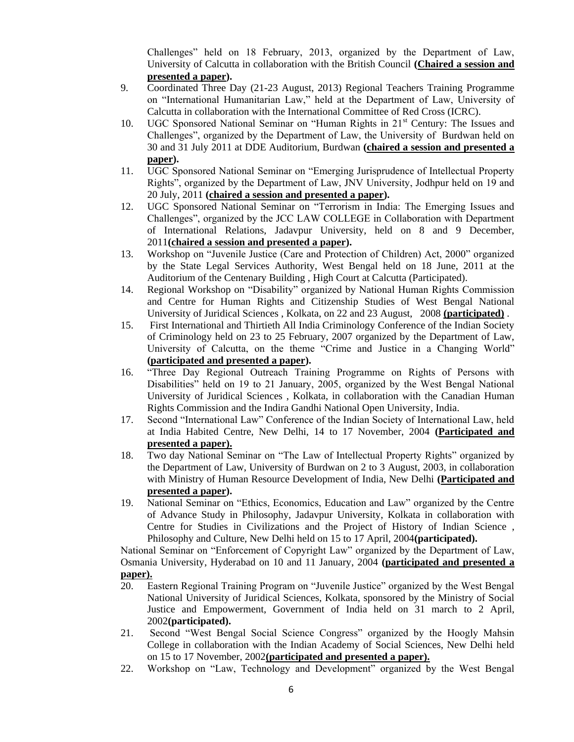Challenges" held on 18 February, 2013, organized by the Department of Law, University of Calcutta in collaboration with the British Council **(Chaired a session and presented a paper).**

- 9. Coordinated Three Day (21-23 August, 2013) Regional Teachers Training Programme on "International Humanitarian Law," held at the Department of Law, University of Calcutta in collaboration with the International Committee of Red Cross (ICRC).
- 10. UGC Sponsored National Seminar on "Human Rights in 21<sup>st</sup> Century: The Issues and Challenges", organized by the Department of Law, the University of Burdwan held on 30 and 31 July 2011 at DDE Auditorium, Burdwan **(chaired a session and presented a paper).**
- 11. UGC Sponsored National Seminar on "Emerging Jurisprudence of Intellectual Property Rights", organized by the Department of Law, JNV University, Jodhpur held on 19 and 20 July, 2011 **(chaired a session and presented a paper).**
- 12. UGC Sponsored National Seminar on "Terrorism in India: The Emerging Issues and Challenges", organized by the JCC LAW COLLEGE in Collaboration with Department of International Relations, Jadavpur University, held on 8 and 9 December, 2011**(chaired a session and presented a paper).**
- 13. Workshop on "Juvenile Justice (Care and Protection of Children) Act, 2000" organized by the State Legal Services Authority, West Bengal held on 18 June, 2011 at the Auditorium of the Centenary Building , High Court at Calcutta (Participated).
- 14. Regional Workshop on "Disability" organized by National Human Rights Commission and Centre for Human Rights and Citizenship Studies of West Bengal National University of Juridical Sciences , Kolkata, on 22 and 23 August, 2008 **(participated)** .
- 15. First International and Thirtieth All India Criminology Conference of the Indian Society of Criminology held on 23 to 25 February, 2007 organized by the Department of Law, University of Calcutta, on the theme "Crime and Justice in a Changing World" **(participated and presented a paper).**
- 16. "Three Day Regional Outreach Training Programme on Rights of Persons with Disabilities" held on 19 to 21 January, 2005, organized by the West Bengal National University of Juridical Sciences , Kolkata, in collaboration with the Canadian Human Rights Commission and the Indira Gandhi National Open University, India.
- 17. Second "International Law" Conference of the Indian Society of International Law, held at India Habited Centre, New Delhi, 14 to 17 November, 2004 **(Participated and presented a paper).**
- 18. Two day National Seminar on "The Law of Intellectual Property Rights" organized by the Department of Law, University of Burdwan on 2 to 3 August, 2003, in collaboration with Ministry of Human Resource Development of India, New Delhi **(Participated and presented a paper).**
- 19. National Seminar on "Ethics, Economics, Education and Law" organized by the Centre of Advance Study in Philosophy, Jadavpur University, Kolkata in collaboration with Centre for Studies in Civilizations and the Project of History of Indian Science , Philosophy and Culture, New Delhi held on 15 to 17 April, 2004**(participated).**

National Seminar on "Enforcement of Copyright Law" organized by the Department of Law, Osmania University, Hyderabad on 10 and 11 January, 2004 **(participated and presented a paper).**

- 20. Eastern Regional Training Program on "Juvenile Justice" organized by the West Bengal National University of Juridical Sciences, Kolkata, sponsored by the Ministry of Social Justice and Empowerment, Government of India held on 31 march to 2 April, 2002**(participated).**
- 21. Second "West Bengal Social Science Congress" organized by the Hoogly Mahsin College in collaboration with the Indian Academy of Social Sciences, New Delhi held on 15 to 17 November, 2002**(participated and presented a paper).**
- 22. Workshop on "Law, Technology and Development" organized by the West Bengal